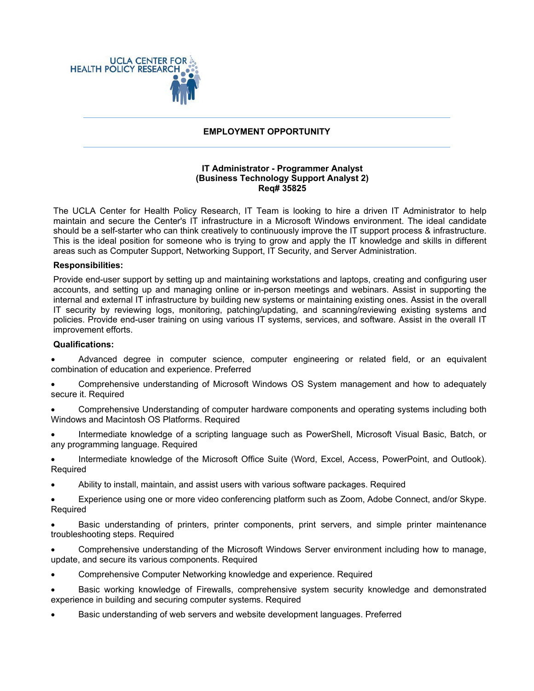

# **EMPLOYMENT OPPORTUNITY**

## **IT Administrator - Programmer Analyst (Business Technology Support Analyst 2) Req# 35825**

The UCLA Center for Health Policy Research, IT Team is looking to hire a driven IT Administrator to help maintain and secure the Center's IT infrastructure in a Microsoft Windows environment. The ideal candidate should be a self-starter who can think creatively to continuously improve the IT support process & infrastructure. This is the ideal position for someone who is trying to grow and apply the IT knowledge and skills in different areas such as Computer Support, Networking Support, IT Security, and Server Administration.

## **Responsibilities:**

Provide end-user support by setting up and maintaining workstations and laptops, creating and configuring user accounts, and setting up and managing online or in-person meetings and webinars. Assist in supporting the internal and external IT infrastructure by building new systems or maintaining existing ones. Assist in the overall IT security by reviewing logs, monitoring, patching/updating, and scanning/reviewing existing systems and policies. Provide end-user training on using various IT systems, services, and software. Assist in the overall IT improvement efforts.

#### **Qualifications:**

- Advanced degree in computer science, computer engineering or related field, or an equivalent combination of education and experience. Preferred
- Comprehensive understanding of Microsoft Windows OS System management and how to adequately secure it. Required
- Comprehensive Understanding of computer hardware components and operating systems including both Windows and Macintosh OS Platforms. Required
- Intermediate knowledge of a scripting language such as PowerShell, Microsoft Visual Basic, Batch, or any programming language. Required
- Intermediate knowledge of the Microsoft Office Suite (Word, Excel, Access, PowerPoint, and Outlook). Required
- Ability to install, maintain, and assist users with various software packages. Required
- Experience using one or more video conferencing platform such as Zoom, Adobe Connect, and/or Skype. Required
- Basic understanding of printers, printer components, print servers, and simple printer maintenance troubleshooting steps. Required
- Comprehensive understanding of the Microsoft Windows Server environment including how to manage, update, and secure its various components. Required
- Comprehensive Computer Networking knowledge and experience. Required
- Basic working knowledge of Firewalls, comprehensive system security knowledge and demonstrated experience in building and securing computer systems. Required
- Basic understanding of web servers and website development languages. Preferred